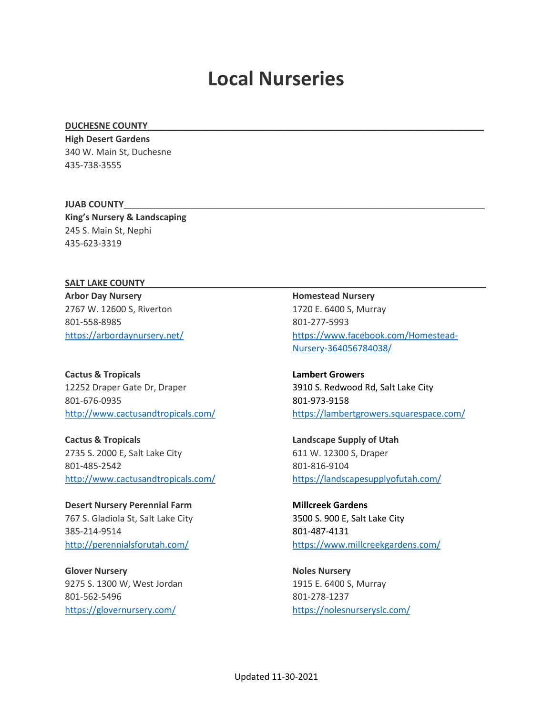# **Local Nurseries**

#### DUCHESNE COUNTY

**High Desert Gardens** 340 W. Main St, Duchesne 435-738-3555

### **JUAB COUNTY**\_\_\_\_\_\_\_\_\_\_\_\_\_\_\_\_\_\_\_\_\_\_\_\_\_\_\_\_\_\_\_\_\_\_\_\_\_\_\_\_\_\_\_\_\_\_\_\_\_\_\_\_\_\_\_\_\_\_\_\_\_\_\_\_\_\_\_\_\_\_\_\_\_

**King's Nursery & Landscaping** 245 S. Main St, Nephi 435-623-3319

# SALT LAKE COUNTY

**Arbor Day Nursery** 2767 W. 12600 S, Riverton 801-558-8985 <https://arbordaynursery.net/>

**Cactus & Tropicals** 12252 Draper Gate Dr, Draper 801-676-0935 <http://www.cactusandtropicals.com/>

**Cactus & Tropicals** 2735 S. 2000 E, Salt Lake City 801-485-2542 <http://www.cactusandtropicals.com/>

**Desert Nursery Perennial Farm** 767 S. Gladiola St, Salt Lake City 385-214-9514 <http://perennialsforutah.com/>

**Glover Nursery** 9275 S. 1300 W, West Jordan 801-562-5496 <https://glovernursery.com/>

**Homestead Nursery** 1720 E. 6400 S, Murray 801-277-5993 [https://www.facebook.com/Homestead-](https://www.facebook.com/Homestead-Nursery-364056784038/)[Nursery-364056784038/](https://www.facebook.com/Homestead-Nursery-364056784038/)

**Lambert Growers** 3910 S. Redwood Rd, Salt Lake City 801-973-9158 <https://lambertgrowers.squarespace.com/>

**Landscape Supply of Utah** 611 W. 12300 S, Draper 801-816-9104 <https://landscapesupplyofutah.com/>

**Millcreek Gardens** 3500 S. 900 E, Salt Lake City 801-487-4131 <https://www.millcreekgardens.com/>

**Noles Nursery** 1915 E. 6400 S, Murray 801-278-1237 <https://nolesnurseryslc.com/>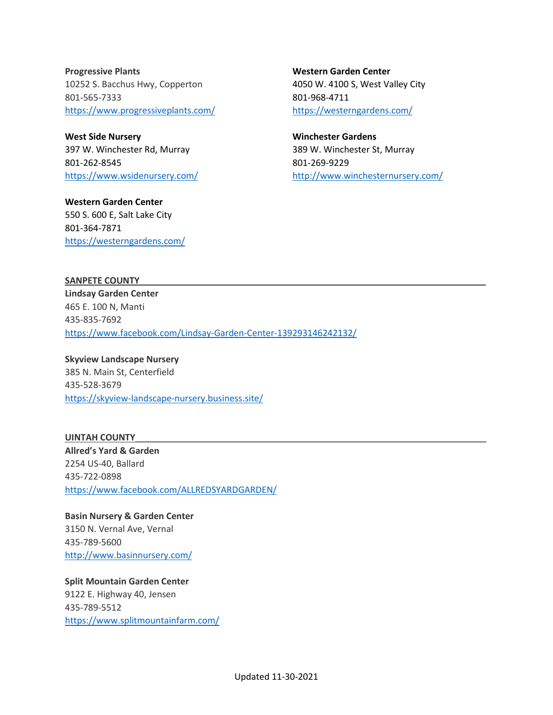**Progressive Plants** 10252 S. Bacchus Hwy, Copperton 801-565-7333 <https://www.progressiveplants.com/>

**West Side Nursery** 397 W. Winchester Rd, Murray 801-262-8545 <https://www.wsidenursery.com/>

**Western Garden Center** 550 S. 600 E, Salt Lake City 801-364-7871 <https://westerngardens.com/>

**Western Garden Center** 4050 W. 4100 S, West Valley City 801-968-4711 <https://westerngardens.com/>

**Winchester Gardens** 389 W. Winchester St, Murray 801-269-9229 <http://www.winchesternursery.com/>

SANPETE COUNTY

**Lindsay Garden Center** 465 E. 100 N, Manti 435-835-7692 <https://www.facebook.com/Lindsay-Garden-Center-139293146242132/>

**Skyview Landscape Nursery** 385 N. Main St, Centerfield 435-528-3679 <https://skyview-landscape-nursery.business.site/>

**UINTAH COUNTY**\_\_\_\_\_\_\_\_\_\_\_\_\_\_\_\_\_\_\_\_\_\_\_\_\_\_\_\_\_\_\_\_\_\_\_\_\_\_\_\_\_\_\_\_\_\_\_\_\_\_\_\_\_\_\_\_\_\_\_\_\_\_\_\_\_\_\_\_\_\_\_ **Allred's Yard & Garden** 2254 US-40, Ballard 435-722-0898 <https://www.facebook.com/ALLREDSYARDGARDEN/>

**Basin Nursery & Garden Center** 3150 N. Vernal Ave, Vernal 435-789-5600 <http://www.basinnursery.com/>

**Split Mountain Garden Center** 9122 E. Highway 40, Jensen 435-789-5512 <https://www.splitmountainfarm.com/>